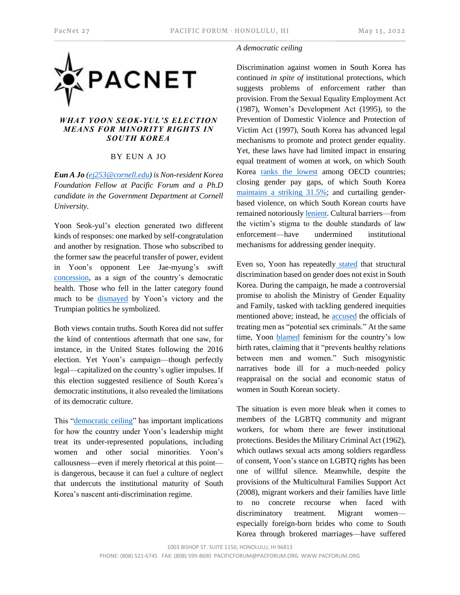

## *WHAT YOON SEOK-YUL'S ELECTION MEANS FOR MINORITY RIGHTS IN SOUTH KOREA*

## BY EUN A JO

*Eun A Jo [\(ej253@cornell.edu\)](mailto:ej253@cornell.edu) is Non-resident Korea Foundation Fellow at Pacific Forum and a Ph.D candidate in the Government Department at Cornell University.*

Yoon Seok-yul's election generated two different kinds of responses: one marked by self-congratulation and another by resignation. Those who subscribed to the former saw the peaceful transfer of power, evident in Yoon's opponent Lee Jae-myung's swift [concession,](http://www.koreaherald.com/view.php?ud=20220310000068) as a sign of the country's democratic health. Those who fell in the latter category found much to be [dismayed](https://www.theguardian.com/world/2022/mar/11/south-korea-gender-equality-anti-feminist-president-yoon-suk-yeol) by Yoon's victory and the Trumpian politics he symbolized.

Both views contain truths. South Korea did not suffer the kind of contentious aftermath that one saw, for instance, in the United States following the 2016 election. Yet Yoon's campaign—though perfectly legal—capitalized on the country's uglier impulses. If this election suggested resilience of South Korea's democratic institutions, it also revealed the limitations of its democratic culture.

This ["democratic ceiling"](https://onlinelibrary.wiley.com/doi/abs/10.1111/aspp.12552) has important implications for how the country under Yoon's leadership might treat its under-represented populations, including women and other social minorities. Yoon's callousness—even if merely rhetorical at this point is dangerous, because it can fuel a culture of neglect that undercuts the institutional maturity of South Korea's nascent anti-discrimination regime.

## *A democratic ceiling*

Discrimination against women in South Korea has continued *in spite of* institutional protections, which suggests problems of enforcement rather than provision. From the Sexual Equality Employment Act (1987), Women's Development Act (1995), to the Prevention of Domestic Violence and Protection of Victim Act (1997), South Korea has advanced legal mechanisms to promote and protect gender equality. Yet, these laws have had limited impact in ensuring equal treatment of women at work, on which South Korea [ranks the lowest](https://www.economist.com/graphic-detail/glass-ceiling-index) among OECD countries; closing gender pay gaps, of which South Korea maintains [a striking 31.5%;](http://www.koreaherald.com/view.php?ud=20211116000430) and curtailing genderbased violence, on which South Korean courts have remained notoriousl[y lenient.](https://english.hani.co.kr/arti/english_edition/e_national/1024076.html) Cultural barriers—from the victim's stigma to the double standards of law enforcement—have undermined institutional mechanisms for addressing gender inequity.

Even so, Yoon has repeatedly [stated](https://time.com/6156537/south-korea-president-yoon-suk-yeol-sexism/) that structural discrimination based on gender does not exist in South Korea. During the campaign, he made a controversial promise to abolish the Ministry of Gender Equality and Family, tasked with tackling gendered inequities mentioned above; instead, he [accused](https://asia.nikkei.com/Opinion/South-Korean-feminism-will-survive-today-s-reactionary-backlash) the officials of treating men as "potential sex criminals." At the same time, Yoon **[blamed](https://www.upi.com/Top_News/World-News/2021/08/02/skorea-South-Korean-Yoon-Seokyoul-feminism-comments/6541627927142/)** feminism for the country's low birth rates, claiming that it "prevents healthy relations between men and women." Such misogynistic narratives bode ill for a much-needed policy reappraisal on the social and economic status of women in South Korean society.

The situation is even more bleak when it comes to members of the LGBTQ community and migrant workers, for whom there are fewer institutional protections. Besides the Military Criminal Act (1962), which outlaws sexual acts among soldiers regardless of consent, Yoon's stance on LGBTQ rights has been one of willful silence. Meanwhile, despite the provisions of the Multicultural Families Support Act (2008), migrant workers and their families have little to no concrete recourse when faced with discriminatory treatment. Migrant women especially foreign-born brides who come to South Korea through brokered marriages—have suffered